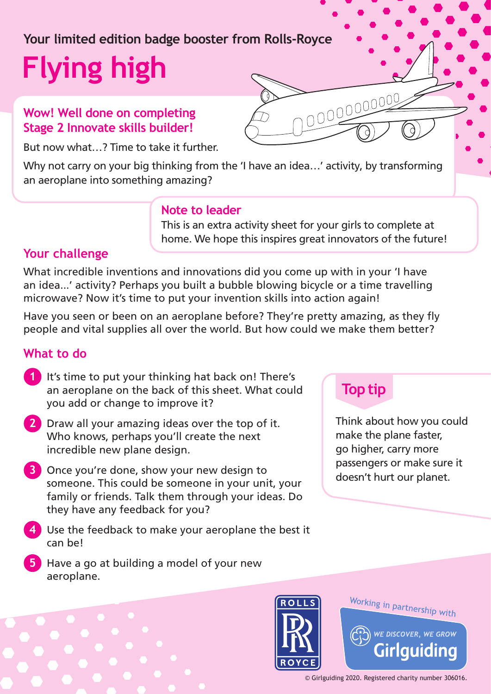# **Your limited edition badge booster from Rolls-Royce**

# **Flying high**

## **Wow! Well done on completing Stage 2 Innovate skills builder!**

But now what…? Time to take it further.

Why not carry on your big thinking from the 'I have an idea…' activity, by transforming an aeroplane into something amazing?

#### **Note to leader**

This is an extra activity sheet for your girls to complete at home. We hope this inspires great innovators of the future!

## **Your challenge**

What incredible inventions and innovations did you come up with in your 'I have an idea...' activity? Perhaps you built a bubble blowing bicycle or a time travelling microwave? Now it's time to put your invention skills into action again!

Have you seen or been on an aeroplane before? They're pretty amazing, as they fly people and vital supplies all over the world. But how could we make them better?

## **What to do**

- **1** It's time to put your thinking hat back on! There's an aeroplane on the back of this sheet. What could you add or change to improve it?
- **2** Draw all your amazing ideas over the top of it. Who knows, perhaps you'll create the next incredible new plane design.
- **3** Once you're done, show your new design to someone. This could be someone in your unit, your family or friends. Talk them through your ideas. Do they have any feedback for you?
- **4** Use the feedback to make your aeroplane the best it can be!
- **5** Have a go at building a model of your new aeroplane.

# **Top tip**

Think about how you could make the plane faster, go higher, carry more passengers or make sure it doesn't hurt our planet.



Working in partnership with

WE DISCOVER, WE GROW idind